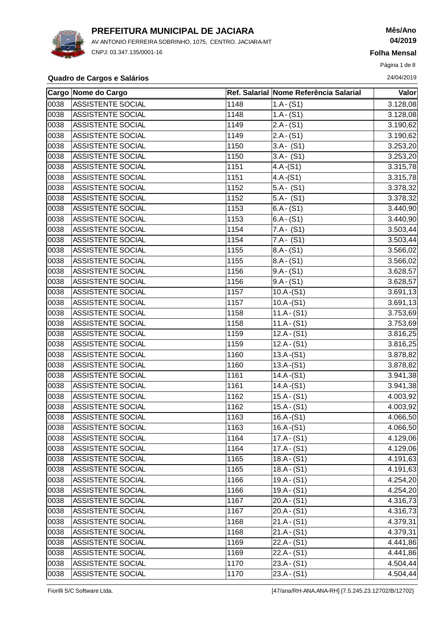

AV ANTONIO FERREIRA SOBRINHO, 1075, CENTRO. JACIARA-MT CNPJ: 03.347.135/0001-16

# **Mês/Ano 04/2019**

**Folha Mensal**

Página 1 de 8

### **Quadro de Cargos e Salários** 24/04/2019

|      | Cargo Nome do Cargo      |      | Ref. Salarial Nome Referência Salarial | <b>Valor</b>          |
|------|--------------------------|------|----------------------------------------|-----------------------|
| 0038 | <b>ASSISTENTE SOCIAL</b> | 1148 | $1.A - (S1)$                           | 3.128,08              |
| 0038 | <b>ASSISTENTE SOCIAL</b> | 1148 | $1.A - (S1)$                           | 3.128,08              |
| 0038 | <b>ASSISTENTE SOCIAL</b> | 1149 | $2.A - (S1)$                           | 3.190,62              |
| 0038 | <b>ASSISTENTE SOCIAL</b> | 1149 | $2.A - (S1)$                           | 3.190,62              |
| 0038 | ASSISTENTE SOCIAL        | 1150 | $3.A - (S1)$                           | $\overline{3.253,20}$ |
| 0038 | ASSISTENTE SOCIAL        | 1150 | $3.A - (S1)$                           | 3.253,20              |
| 0038 | ASSISTENTE SOCIAL        | 1151 | $4.A-(S1)$                             | 3.315,78              |
| 0038 | ASSISTENTE SOCIAL        | 1151 | $4.A-(S1)$                             | 3.315,78              |
| 0038 | <b>ASSISTENTE SOCIAL</b> | 1152 | $5.A - (S1)$                           | 3.378,32              |
| 0038 | <b>ASSISTENTE SOCIAL</b> | 1152 | $5.A - (S1)$                           | 3.378,32              |
| 0038 | ASSISTENTE SOCIAL        | 1153 | $6.A - (S1)$                           | 3.440,90              |
| 0038 | <b>ASSISTENTE SOCIAL</b> | 1153 | $6.A - (S1)$                           | 3.440,90              |
| 0038 | <b>ASSISTENTE SOCIAL</b> | 1154 | $7.A - (S1)$                           | 3.503,44              |
| 0038 | <b>ASSISTENTE SOCIAL</b> | 1154 | $7.A - (S1)$                           | 3.503,44              |
| 0038 | <b>ASSISTENTE SOCIAL</b> | 1155 | $8.A - (S1)$                           | 3.566,02              |
| 0038 | ASSISTENTE SOCIAL        | 1155 | $8.A - (S1)$                           | 3.566,02              |
| 0038 | <b>ASSISTENTE SOCIAL</b> | 1156 | $9.A - (S1)$                           | 3.628,57              |
| 0038 | <b>ASSISTENTE SOCIAL</b> | 1156 | $9.A - (S1)$                           | 3.628,57              |
| 0038 | <b>ASSISTENTE SOCIAL</b> | 1157 | $10.A-(S1)$                            | 3.691,13              |
| 0038 | <b>ASSISTENTE SOCIAL</b> | 1157 | $10.A-(S1)$                            | 3.691,13              |
| 0038 | <b>ASSISTENTE SOCIAL</b> | 1158 | $11.A - (S1)$                          | 3.753,69              |
| 0038 | ASSISTENTE SOCIAL        | 1158 | $11.A - (S1)$                          | 3.753,69              |
| 0038 | <b>ASSISTENTE SOCIAL</b> | 1159 | $12.A - (S1)$                          | 3.816,25              |
| 0038 | ASSISTENTE SOCIAL        | 1159 | $12.A - (S1)$                          | 3.816,25              |
| 0038 | ASSISTENTE SOCIAL        | 1160 | $13.A-(S1)$                            | 3.878,82              |
| 0038 | ASSISTENTE SOCIAL        | 1160 | $13.A-(S1)$                            | 3.878,82              |
| 0038 | <b>ASSISTENTE SOCIAL</b> | 1161 | $14.A-(S1)$                            | 3.941,38              |
| 0038 | <b>ASSISTENTE SOCIAL</b> | 1161 | $14.A-(S1)$                            | 3.941,38              |
| 0038 | <b>ASSISTENTE SOCIAL</b> | 1162 | $15.A - (S1)$                          | 4.003,92              |
| 0038 | <b>ASSISTENTE SOCIAL</b> | 1162 | $15.A - (S1)$                          | 4.003,92              |
| 0038 | <b>ASSISTENTE SOCIAL</b> | 1163 | $16.A-(S1)$                            | 4.066,50              |
| 0038 | <b>ASSISTENTE SOCIAL</b> | 1163 | $16.A-(S1)$                            | 4.066,50              |
| 0038 | ASSISTENTE SOCIAL        | 1164 | $17.A - (S1)$                          | 4.129,06              |
| 0038 | ASSISTENTE SOCIAL        | 1164 | $17.A - (S1)$                          | 4.129,06              |
| 0038 | <b>ASSISTENTE SOCIAL</b> | 1165 | $18.A - (S1)$                          | 4.191,63              |
| 0038 | ASSISTENTE SOCIAL        | 1165 | $18.A - (S1)$                          | 4.191,63              |
| 0038 | <b>ASSISTENTE SOCIAL</b> | 1166 | $19.A - (S1)$                          | 4.254,20              |
| 0038 | <b>ASSISTENTE SOCIAL</b> | 1166 | $19.A - (S1)$                          | 4.254,20              |
| 0038 | <b>ASSISTENTE SOCIAL</b> | 1167 | $20.A - (S1)$                          | 4.316,73              |
| 0038 | <b>ASSISTENTE SOCIAL</b> | 1167 | $20.A - (S1)$                          | 4.316,73              |
| 0038 | <b>ASSISTENTE SOCIAL</b> | 1168 | $21.A - (S1)$                          | 4.379,31              |
| 0038 | <b>ASSISTENTE SOCIAL</b> | 1168 | $21.A - (S1)$                          | 4.379,31              |
| 0038 | <b>ASSISTENTE SOCIAL</b> | 1169 | $22.A - (S1)$                          | 4.441,86              |
| 0038 | ASSISTENTE SOCIAL        | 1169 | $22.A - (S1)$                          | 4.441,86              |
| 0038 | ASSISTENTE SOCIAL        | 1170 | $23.A - (S1)$                          | 4.504,44              |
| 0038 | ASSISTENTE SOCIAL        | 1170 | $23.A - (S1)$                          | 4.504,44              |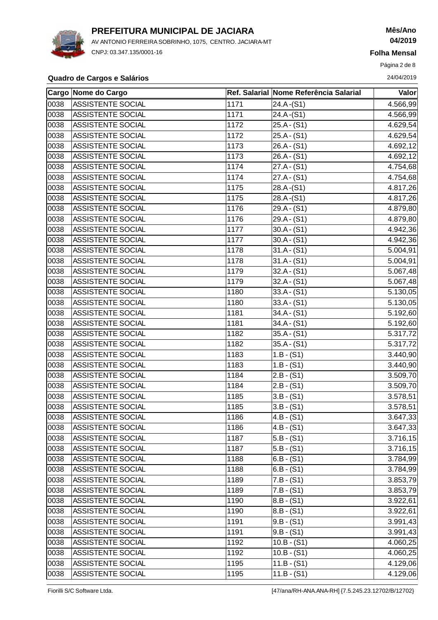

AV ANTONIO FERREIRA SOBRINHO, 1075, CENTRO. JACIARA-MT CNPJ: 03.347.135/0001-16

# **Mês/Ano 04/2019**

**Folha Mensal**

Página 2 de 8

### **Quadro de Cargos e Salários** 24/04/2019

|      | Cargo Nome do Cargo      |               | Ref. Salarial Nome Referência Salarial | <b>Valor</b>          |
|------|--------------------------|---------------|----------------------------------------|-----------------------|
| 0038 | <b>ASSISTENTE SOCIAL</b> | 1171          | 24.A-(S1)                              | 4.566,99              |
| 0038 | <b>ASSISTENTE SOCIAL</b> | 1171          | $24.A-(S1)$                            | 4.566,99              |
| 0038 | <b>ASSISTENTE SOCIAL</b> | 1172          | $25.A - (S1)$                          | 4.629,54              |
| 0038 | <b>ASSISTENTE SOCIAL</b> | 1172          | $25.A - (S1)$                          | 4.629,54              |
| 0038 | <b>ASSISTENTE SOCIAL</b> | 1173          | $26.A - (S1)$                          | 4.692,12              |
| 0038 | <b>ASSISTENTE SOCIAL</b> | 1173          | $26.A - (S1)$                          | 4.692,12              |
| 0038 | ASSISTENTE SOCIAL        | 1174          | $27.A - (S1)$                          | 4.754,68              |
| 0038 | <b>ASSISTENTE SOCIAL</b> | 1174          | $27.A - (S1)$                          | 4.754,68              |
| 0038 | <b>ASSISTENTE SOCIAL</b> | 1175          | 28.A-(S1)                              | 4.817,26              |
| 0038 | <b>ASSISTENTE SOCIAL</b> | 1175          | $28.A-(S1)$                            | 4.817,26              |
| 0038 | <b>ASSISTENTE SOCIAL</b> | 1176          | $29.A - (S1)$                          | 4.879,80              |
| 0038 | <b>ASSISTENTE SOCIAL</b> | 1176          | $29.A - (S1)$                          | 4.879,80              |
| 0038 | ASSISTENTE SOCIAL        | 1177          | $30.A - (S1)$                          | 4.942,36              |
| 0038 | <b>ASSISTENTE SOCIAL</b> | 1177          | $30.A - (S1)$                          | 4.942,36              |
| 0038 | <b>ASSISTENTE SOCIAL</b> | 1178          | $31.A - (S1)$                          | 5.004,91              |
| 0038 | <b>ASSISTENTE SOCIAL</b> | 1178          | $31.A - (S1)$                          | 5.004,91              |
| 0038 | <b>ASSISTENTE SOCIAL</b> | 1179          | $32.A - (S1)$                          | 5.067,48              |
| 0038 | <b>ASSISTENTE SOCIAL</b> | 1179          | $32.A - (S1)$                          | 5.067,48              |
| 0038 | <b>ASSISTENTE SOCIAL</b> | 1180          | $33.A - (S1)$                          | 5.130,05              |
| 0038 | <b>ASSISTENTE SOCIAL</b> | 1180          | $33.A - (S1)$                          | 5.130,05              |
| 0038 | <b>ASSISTENTE SOCIAL</b> | 1181          | $34.A - (S1)$                          | 5.192,60              |
| 0038 | <b>ASSISTENTE SOCIAL</b> | 1181          | $34.A - (S1)$                          | 5.192,60              |
| 0038 | <b>ASSISTENTE SOCIAL</b> | 1182          | $35.A - (S1)$                          | 5.317,72              |
| 0038 | <b>ASSISTENTE SOCIAL</b> | 1182          | $35.A - (S1)$                          | 5.317,72              |
| 0038 | <b>ASSISTENTE SOCIAL</b> | 1183          | $1.B - (S1)$                           | 3.440,90              |
| 0038 | <b>ASSISTENTE SOCIAL</b> | 1183          | $1.B - (S1)$                           | 3.440,90              |
| 0038 | <b>ASSISTENTE SOCIAL</b> | 1184          | $2.B - (S1)$                           | 3.509,70              |
| 0038 | <b>ASSISTENTE SOCIAL</b> | 1184          | 2.B - (S1)                             | 3.509,70              |
| 0038 | ASSISTENTE SOCIAL        | 1185          | $3.B - (S1)$                           | 3.578,51              |
| 0038 | <b>ASSISTENTE SOCIAL</b> | 1185          | $3.B - (S1)$                           | 3.578,51              |
| 0038 | <b>ASSISTENTE SOCIAL</b> | $\sqrt{1186}$ | $4.B - (S1)$                           | 3.647,33              |
| 0038 | <b>ASSISTENTE SOCIAL</b> | 1186          | $4.B - (S1)$                           | 3.647,33              |
| 0038 | <b>ASSISTENTE SOCIAL</b> | 1187          | 5.B - (S1)                             | 3.716,15              |
| 0038 | <b>ASSISTENTE SOCIAL</b> | 1187          | 5.B - (S1)                             | 3.716,15              |
| 0038 | <b>ASSISTENTE SOCIAL</b> | 1188          | $6.B - (S1)$                           | 3.784,99              |
| 0038 | ASSISTENTE SOCIAL        | 1188          | 6.B - (S1)                             | 3.784,99              |
| 0038 | ASSISTENTE SOCIAL        | 1189          | $7.B - (S1)$                           | 3.853,79              |
| 0038 | <b>ASSISTENTE SOCIAL</b> | 1189          | $7.B - (S1)$                           | 3.853,79              |
| 0038 | <b>ASSISTENTE SOCIAL</b> | 1190          | $ 8.B - (S1) $                         | 3.922,61              |
| 0038 | <b>ASSISTENTE SOCIAL</b> | 1190          | $8.B - (S1)$                           | 3.922,61              |
| 0038 | <b>ASSISTENTE SOCIAL</b> | 1191          | 9.B - (S1)                             | 3.991,43              |
| 0038 | <b>ASSISTENTE SOCIAL</b> | 1191          | 9.B - (S1)                             | 3.991,43              |
| 0038 | ASSISTENTE SOCIAL        | 1192          | $10.B - (S1)$                          | 4.060,25              |
| 0038 | <b>ASSISTENTE SOCIAL</b> | 1192          | $10.B - (S1)$                          | $\overline{4.060,25}$ |
| 0038 | ASSISTENTE SOCIAL        | 1195          | $11.B - (S1)$                          | 4.129,06              |
| 0038 | ASSISTENTE SOCIAL        | 1195          | $11.B - (S1)$                          | 4.129,06              |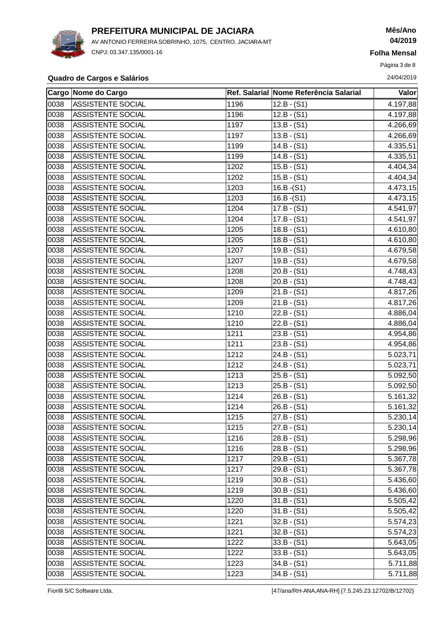

AV ANTONIO FERREIRA SOBRINHO, 1075, CENTRO. JACIARA-MT CNPJ: 03.347.135/0001-16

## **Mês/Ano 04/2019**

**Folha Mensal**

Página 3 de 8

### **Quadro de Cargos e Salários** 24/04/2019

|      | Cargo Nome do Cargo      |      | Ref. Salarial Nome Referência Salarial | Valor    |
|------|--------------------------|------|----------------------------------------|----------|
| 0038 | <b>ASSISTENTE SOCIAL</b> | 1196 | 12.B - (S1)                            | 4.197,88 |
| 0038 | ASSISTENTE SOCIAL        | 1196 | $12.B - (S1)$                          | 4.197,88 |
| 0038 | <b>ASSISTENTE SOCIAL</b> | 1197 | $13.B - (S1)$                          | 4.266,69 |
| 0038 | <b>ASSISTENTE SOCIAL</b> | 1197 | $13.B - (S1)$                          | 4.266,69 |
| 0038 | <b>ASSISTENTE SOCIAL</b> | 1199 | $14.B - (S1)$                          | 4.335,51 |
| 0038 | <b>ASSISTENTE SOCIAL</b> | 1199 | $14.B - (S1)$                          | 4.335,51 |
| 0038 | ASSISTENTE SOCIAL        | 1202 | $15.B - (S1)$                          | 4.404,34 |
| 0038 | ASSISTENTE SOCIAL        | 1202 | $15.B - (S1)$                          | 4.404,34 |
| 0038 | ASSISTENTE SOCIAL        | 1203 | $16.B-(S1)$                            | 4.473,15 |
| 0038 | <b>ASSISTENTE SOCIAL</b> | 1203 | $16.B-(S1)$                            | 4.473,15 |
| 0038 | ASSISTENTE SOCIAL        | 1204 | $17.B - (S1)$                          | 4.541,97 |
| 0038 | <b>ASSISTENTE SOCIAL</b> | 1204 | $17.B - (S1)$                          | 4.541,97 |
| 0038 | <b>ASSISTENTE SOCIAL</b> | 1205 | $18.B - (S1)$                          | 4.610,80 |
| 0038 | ASSISTENTE SOCIAL        | 1205 | $18.B - (S1)$                          | 4.610,80 |
| 0038 | <b>ASSISTENTE SOCIAL</b> | 1207 | $19.B - (S1)$                          | 4.679,58 |
| 0038 | ASSISTENTE SOCIAL        | 1207 | $19.B - (S1)$                          | 4.679,58 |
| 0038 | ASSISTENTE SOCIAL        | 1208 | $20.B - (S1)$                          | 4.748,43 |
| 0038 | <b>ASSISTENTE SOCIAL</b> | 1208 | $20.B - (S1)$                          | 4.748,43 |
| 0038 | <b>ASSISTENTE SOCIAL</b> | 1209 | $21.B - (S1)$                          | 4.817,26 |
| 0038 | ASSISTENTE SOCIAL        | 1209 | $21.B - (S1)$                          | 4.817,26 |
| 0038 | <b>ASSISTENTE SOCIAL</b> | 1210 | $22.B - (S1)$                          | 4.886,04 |
| 0038 | <b>ASSISTENTE SOCIAL</b> | 1210 | $22.B - (S1)$                          | 4.886,04 |
| 0038 | <b>ASSISTENTE SOCIAL</b> | 1211 | $23.B - (S1)$                          | 4.954,86 |
| 0038 | <b>ASSISTENTE SOCIAL</b> | 1211 | $23.B - (S1)$                          | 4.954,86 |
| 0038 | ASSISTENTE SOCIAL        | 1212 | $24.B - (S1)$                          | 5.023,71 |
| 0038 | ASSISTENTE SOCIAL        | 1212 | $24.B - (S1)$                          | 5.023,71 |
| 0038 | <b>ASSISTENTE SOCIAL</b> | 1213 | $25.B - (S1)$                          | 5.092,50 |
| 0038 | ASSISTENTE SOCIAL        | 1213 | $25.B - (S1)$                          | 5.092,50 |
| 0038 | <b>ASSISTENTE SOCIAL</b> | 1214 | $26.B - (S1)$                          | 5.161,32 |
| 0038 | <b>ASSISTENTE SOCIAL</b> | 1214 | $26.B - (S1)$                          | 5.161,32 |
| 0038 | ASSISTENTE SOCIAL        | 1215 | $27.B - (S1)$                          | 5.230,14 |
| 0038 | <b>ASSISTENTE SOCIAL</b> | 1215 | $27.B - (S1)$                          | 5.230,14 |
| 0038 | <b>ASSISTENTE SOCIAL</b> | 1216 | $28.B - (S1)$                          | 5.298,96 |
| 0038 | <b>ASSISTENTE SOCIAL</b> | 1216 | 28.B - (S1)                            | 5.298,96 |
| 0038 | ASSISTENTE SOCIAL        | 1217 | $29.B - (S1)$                          | 5.367,78 |
| 0038 | ASSISTENTE SOCIAL        | 1217 | $29.B - (S1)$                          | 5.367,78 |
| 0038 | ASSISTENTE SOCIAL        | 1219 | $30.B - (S1)$                          | 5.436,60 |
| 0038 | <b>ASSISTENTE SOCIAL</b> | 1219 | $30.B - (S1)$                          | 5.436,60 |
| 0038 | <b>ASSISTENTE SOCIAL</b> | 1220 | $31.B - (S1)$                          | 5.505,42 |
| 0038 | <b>ASSISTENTE SOCIAL</b> | 1220 | $31.B - (S1)$                          | 5.505,42 |
| 0038 | ASSISTENTE SOCIAL        | 1221 | $32.B - (S1)$                          | 5.574,23 |
| 0038 | ASSISTENTE SOCIAL        | 1221 | $32.B - (S1)$                          | 5.574,23 |
| 0038 | <b>ASSISTENTE SOCIAL</b> | 1222 | $33.B - (S1)$                          | 5.643,05 |
| 0038 | ASSISTENTE SOCIAL        | 1222 | $33.B - (S1)$                          | 5.643,05 |
| 0038 | ASSISTENTE SOCIAL        | 1223 | $34.B - (S1)$                          | 5.711,88 |
| 0038 | ASSISTENTE SOCIAL        | 1223 | $34.B - (S1)$                          | 5.711,88 |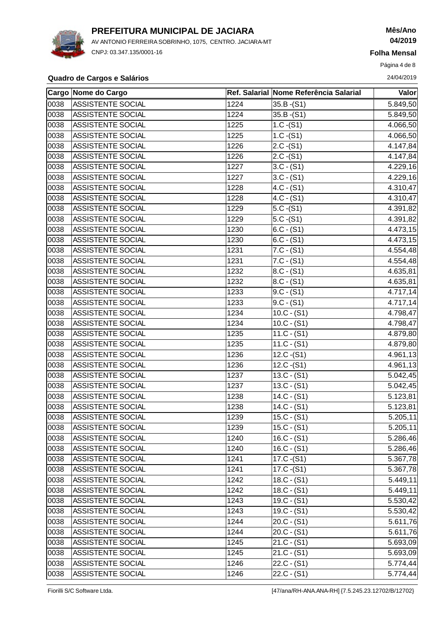

AV ANTONIO FERREIRA SOBRINHO, 1075, CENTRO. JACIARA-MT CNPJ: 03.347.135/0001-16

## **Mês/Ano 04/2019**

**Folha Mensal**

Página 4 de 8

### **Quadro de Cargos e Salários** 24/04/2019

|      | Cargo Nome do Cargo      |      | Ref. Salarial Nome Referência Salarial | <b>Valor</b> |
|------|--------------------------|------|----------------------------------------|--------------|
| 0038 | <b>ASSISTENTE SOCIAL</b> | 1224 | 35.B - (S1)                            | 5.849,50     |
| 0038 | <b>ASSISTENTE SOCIAL</b> | 1224 | $35.B-(S1)$                            | 5.849,50     |
| 0038 | <b>ASSISTENTE SOCIAL</b> | 1225 | $1.C - (S1)$                           | 4.066,50     |
| 0038 | <b>ASSISTENTE SOCIAL</b> | 1225 | $1.C - (S1)$                           | 4.066,50     |
| 0038 | <b>ASSISTENTE SOCIAL</b> | 1226 | $2.C - (S1)$                           | 4.147,84     |
| 0038 | <b>ASSISTENTE SOCIAL</b> | 1226 | $2.C - (S1)$                           | 4.147,84     |
| 0038 | ASSISTENTE SOCIAL        | 1227 | $3.C - (S1)$                           | 4.229,16     |
| 0038 | ASSISTENTE SOCIAL        | 1227 | $3.C - (S1)$                           | 4.229,16     |
| 0038 | <b>ASSISTENTE SOCIAL</b> | 1228 | $4.C - (S1)$                           | 4.310,47     |
| 0038 | <b>ASSISTENTE SOCIAL</b> | 1228 | $4.C - (S1)$                           | 4.310,47     |
| 0038 | ASSISTENTE SOCIAL        | 1229 | $5.C - (S1)$                           | 4.391,82     |
| 0038 | <b>ASSISTENTE SOCIAL</b> | 1229 | $5.C - (S1)$                           | 4.391,82     |
| 0038 | <b>ASSISTENTE SOCIAL</b> | 1230 | $6.C - (S1)$                           | 4.473,15     |
| 0038 | ASSISTENTE SOCIAL        | 1230 | $6.C - (S1)$                           | 4.473,15     |
| 0038 | <b>ASSISTENTE SOCIAL</b> | 1231 | $7.C - (S1)$                           | 4.554,48     |
| 0038 | <b>ASSISTENTE SOCIAL</b> | 1231 | $7.C - (S1)$                           | 4.554,48     |
| 0038 | <b>ASSISTENTE SOCIAL</b> | 1232 | 8.C - (S1)                             | 4.635,81     |
| 0038 | <b>ASSISTENTE SOCIAL</b> | 1232 | $ 8.C - (S1) $                         | 4.635,81     |
| 0038 | ASSISTENTE SOCIAL        | 1233 | $9.C - (S1)$                           | 4.717,14     |
| 0038 | <b>ASSISTENTE SOCIAL</b> | 1233 | 9.C - (S1)                             | 4.717,14     |
| 0038 | <b>ASSISTENTE SOCIAL</b> | 1234 | $10.C - (S1)$                          | 4.798,47     |
| 0038 | ASSISTENTE SOCIAL        | 1234 | $10.C - (S1)$                          | 4.798,47     |
| 0038 | <b>ASSISTENTE SOCIAL</b> | 1235 | $11.C - (S1)$                          | 4.879,80     |
| 0038 | <b>ASSISTENTE SOCIAL</b> | 1235 | $11.C - (S1)$                          | 4.879,80     |
| 0038 | ASSISTENTE SOCIAL        | 1236 | $12.C - (S1)$                          | 4.961,13     |
| 0038 | <b>ASSISTENTE SOCIAL</b> | 1236 | $12.C - (S1)$                          | 4.961,13     |
| 0038 | <b>ASSISTENTE SOCIAL</b> | 1237 | $13.C - (S1)$                          | 5.042,45     |
| 0038 | <b>ASSISTENTE SOCIAL</b> | 1237 | $13.C - (S1)$                          | 5.042,45     |
| 0038 | <b>ASSISTENTE SOCIAL</b> | 1238 | $14.C - (S1)$                          | 5.123,81     |
| 0038 | <b>ASSISTENTE SOCIAL</b> | 1238 | $14.C - (S1)$                          | 5.123,81     |
| 0038 | ASSISTENTE SOCIAL        | 1239 | $15.C - (S1)$                          | 5.205, 11    |
| 0038 | <b>ASSISTENTE SOCIAL</b> | 1239 | $15.C - (S1)$                          | 5.205,11     |
| 0038 | ASSISTENTE SOCIAL        | 1240 | $16.C - (S1)$                          | 5.286,46     |
| 0038 | ASSISTENTE SOCIAL        | 1240 | $16.C - (S1)$                          | 5.286,46     |
| 0038 | <b>ASSISTENTE SOCIAL</b> | 1241 | $17.C-(S1)$                            | 5.367,78     |
| 0038 | ASSISTENTE SOCIAL        | 1241 | $17.C - (S1)$                          | 5.367,78     |
| 0038 | ASSISTENTE SOCIAL        | 1242 | $18.C - (S1)$                          | 5.449,11     |
| 0038 | <b>ASSISTENTE SOCIAL</b> | 1242 | $18.C - (S1)$                          | 5.449,11     |
| 0038 | <b>ASSISTENTE SOCIAL</b> | 1243 | $19.C - (S1)$                          | 5.530,42     |
| 0038 | <b>ASSISTENTE SOCIAL</b> | 1243 | $19.C - (S1)$                          | 5.530,42     |
| 0038 | ASSISTENTE SOCIAL        | 1244 | $20.C - (S1)$                          | 5.611,76     |
| 0038 | <b>ASSISTENTE SOCIAL</b> | 1244 | $20.C - (S1)$                          | 5.611,76     |
| 0038 | ASSISTENTE SOCIAL        | 1245 | $21.C - (S1)$                          | 5.693,09     |
| 0038 | <b>ASSISTENTE SOCIAL</b> | 1245 | $21.C - (S1)$                          | 5.693,09     |
| 0038 | <b>ASSISTENTE SOCIAL</b> | 1246 | $22.C - (S1)$                          | 5.774,44     |
| 0038 | ASSISTENTE SOCIAL        | 1246 | $22.C - (S1)$                          | 5.774,44     |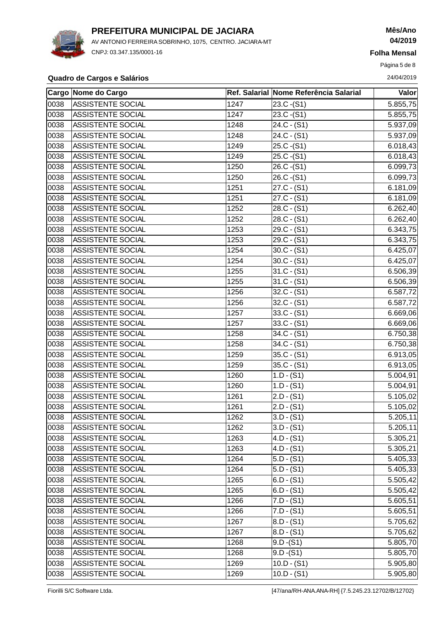

AV ANTONIO FERREIRA SOBRINHO, 1075, CENTRO. JACIARA-MT CNPJ: 03.347.135/0001-16

## **Mês/Ano 04/2019**

**Folha Mensal**

Página 5 de 8

### **Quadro de Cargos e Salários** 24/04/2019

|      | Cargo Nome do Cargo      |      | Ref. Salarial Nome Referência Salarial | Valor     |
|------|--------------------------|------|----------------------------------------|-----------|
| 0038 | <b>ASSISTENTE SOCIAL</b> | 1247 | $23.C - (S1)$                          | 5.855,75  |
| 0038 | <b>ASSISTENTE SOCIAL</b> | 1247 | $23.C - (S1)$                          | 5.855,75  |
| 0038 | <b>ASSISTENTE SOCIAL</b> | 1248 | $24.C - (S1)$                          | 5.937,09  |
| 0038 | <b>ASSISTENTE SOCIAL</b> | 1248 | $24.C - (S1)$                          | 5.937,09  |
| 0038 | <b>ASSISTENTE SOCIAL</b> | 1249 | $25.C - (S1)$                          | 6.018,43  |
| 0038 | <b>ASSISTENTE SOCIAL</b> | 1249 | $25.C - (S1)$                          | 6.018,43  |
| 0038 | <b>ASSISTENTE SOCIAL</b> | 1250 | $26.C - (S1)$                          | 6.099,73  |
| 0038 | <b>ASSISTENTE SOCIAL</b> | 1250 | 26.C - (S1)                            | 6.099,73  |
| 0038 | <b>ASSISTENTE SOCIAL</b> | 1251 | $27.C - (S1)$                          | 6.181,09  |
| 0038 | <b>ASSISTENTE SOCIAL</b> | 1251 | $27.C - (S1)$                          | 6.181,09  |
| 0038 | <b>ASSISTENTE SOCIAL</b> | 1252 | $28.C - (S1)$                          | 6.262,40  |
| 0038 | <b>ASSISTENTE SOCIAL</b> | 1252 | $28.C - (S1)$                          | 6.262,40  |
| 0038 | <b>ASSISTENTE SOCIAL</b> | 1253 | 29.C - (S1)                            | 6.343,75  |
| 0038 | <b>ASSISTENTE SOCIAL</b> | 1253 | $29.C - (S1)$                          | 6.343,75  |
| 0038 | <b>ASSISTENTE SOCIAL</b> | 1254 | $30.C - (S1)$                          | 6.425,07  |
| 0038 | <b>ASSISTENTE SOCIAL</b> | 1254 | $30.C - (S1)$                          | 6.425,07  |
| 0038 | <b>ASSISTENTE SOCIAL</b> | 1255 | $31.C - (S1)$                          | 6.506,39  |
| 0038 | ASSISTENTE SOCIAL        | 1255 | $31.C - (S1)$                          | 6.506,39  |
| 0038 | <b>ASSISTENTE SOCIAL</b> | 1256 | $32.C - (S1)$                          | 6.587,72  |
| 0038 | <b>ASSISTENTE SOCIAL</b> | 1256 | $32.C - (S1)$                          | 6.587,72  |
| 0038 | <b>ASSISTENTE SOCIAL</b> | 1257 | $33.C - (S1)$                          | 6.669,06  |
| 0038 | <b>ASSISTENTE SOCIAL</b> | 1257 | $33.C - (S1)$                          | 6.669,06  |
| 0038 | <b>ASSISTENTE SOCIAL</b> | 1258 | $34.C - (S1)$                          | 6.750,38  |
| 0038 | <b>ASSISTENTE SOCIAL</b> | 1258 | $34.C - (S1)$                          | 6.750,38  |
| 0038 | <b>ASSISTENTE SOCIAL</b> | 1259 | $35.C - (S1)$                          | 6.913,05  |
| 0038 | <b>ASSISTENTE SOCIAL</b> | 1259 | $35.C - (S1)$                          | 6.913,05  |
| 0038 | <b>ASSISTENTE SOCIAL</b> | 1260 | $1.D - (S1)$                           | 5.004,91  |
| 0038 | <b>ASSISTENTE SOCIAL</b> | 1260 | $1.D - (S1)$                           | 5.004,91  |
| 0038 | <b>ASSISTENTE SOCIAL</b> | 1261 | $2.D - (S1)$                           | 5.105,02  |
| 0038 | <b>ASSISTENTE SOCIAL</b> | 1261 | $2.D - (S1)$                           | 5.105,02  |
| 0038 | <b>ASSISTENTE SOCIAL</b> | 1262 | $3.D - (S1)$                           | 5.205, 11 |
| 0038 | <b>ASSISTENTE SOCIAL</b> | 1262 | $3.D - (S1)$                           | 5.205, 11 |
| 0038 | ASSISTENTE SOCIAL        | 1263 | $4.D - (S1)$                           | 5.305,21  |
| 0038 | ASSISTENTE SOCIAL        | 1263 | $4.D - (S1)$                           | 5.305,21  |
| 0038 | ASSISTENTE SOCIAL        | 1264 | $5.D - (S1)$                           | 5.405,33  |
| 0038 | ASSISTENTE SOCIAL        | 1264 | 5.D - (S1)                             | 5.405,33  |
| 0038 | <b>ASSISTENTE SOCIAL</b> | 1265 | $6.D - (S1)$                           | 5.505,42  |
| 0038 | ASSISTENTE SOCIAL        | 1265 | $6.D - (S1)$                           | 5.505,42  |
| 0038 | <b>ASSISTENTE SOCIAL</b> | 1266 | $7.D - (S1)$                           | 5.605,51  |
| 0038 | ASSISTENTE SOCIAL        | 1266 | $7.D - (S1)$                           | 5.605,51  |
| 0038 | <b>ASSISTENTE SOCIAL</b> | 1267 | 8.D - (S1)                             | 5.705,62  |
| 0038 | <b>ASSISTENTE SOCIAL</b> | 1267 | 8.D - (S1)                             | 5.705,62  |
| 0038 | <b>ASSISTENTE SOCIAL</b> | 1268 | $9.D - (S1)$                           | 5.805,70  |
| 0038 | ASSISTENTE SOCIAL        | 1268 | $9.D - (S1)$                           | 5.805,70  |
| 0038 | ASSISTENTE SOCIAL        | 1269 | $10.D - (S1)$                          | 5.905,80  |
| 0038 | ASSISTENTE SOCIAL        | 1269 | $10.D - (S1)$                          | 5.905,80  |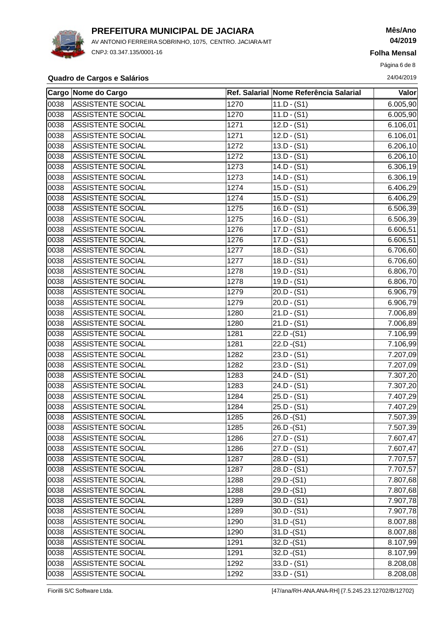

AV ANTONIO FERREIRA SOBRINHO, 1075, CENTRO. JACIARA-MT CNPJ: 03.347.135/0001-16

## **Mês/Ano 04/2019**

**Folha Mensal**

Página 6 de 8

### **Quadro de Cargos e Salários** 24/04/2019

|      | Cargo Nome do Cargo      |      | Ref. Salarial Nome Referência Salarial | Valor     |
|------|--------------------------|------|----------------------------------------|-----------|
| 0038 | <b>ASSISTENTE SOCIAL</b> | 1270 | $11.D - (S1)$                          | 6.005,90  |
| 0038 | <b>ASSISTENTE SOCIAL</b> | 1270 | $11.D - (S1)$                          | 6.005,90  |
| 0038 | <b>ASSISTENTE SOCIAL</b> | 1271 | $12.D - (S1)$                          | 6.106,01  |
| 0038 | <b>ASSISTENTE SOCIAL</b> | 1271 | $12.D - (S1)$                          | 6.106,01  |
| 0038 | <b>ASSISTENTE SOCIAL</b> | 1272 | $13.D - (S1)$                          | 6.206, 10 |
| 0038 | <b>ASSISTENTE SOCIAL</b> | 1272 | $13.D - (S1)$                          | 6.206, 10 |
| 0038 | ASSISTENTE SOCIAL        | 1273 | $14.D - (S1)$                          | 6.306, 19 |
| 0038 | ASSISTENTE SOCIAL        | 1273 | $14.D - (S1)$                          | 6.306,19  |
| 0038 | <b>ASSISTENTE SOCIAL</b> | 1274 | $15.D - (S1)$                          | 6.406,29  |
| 0038 | <b>ASSISTENTE SOCIAL</b> | 1274 | $15.D - (S1)$                          | 6.406,29  |
| 0038 | ASSISTENTE SOCIAL        | 1275 | $16.D - (S1)$                          | 6.506,39  |
| 0038 | ASSISTENTE SOCIAL        | 1275 | $16.D - (S1)$                          | 6.506,39  |
| 0038 | ASSISTENTE SOCIAL        | 1276 | $17.D - (S1)$                          | 6.606,51  |
| 0038 | <b>ASSISTENTE SOCIAL</b> | 1276 | $17.D - (S1)$                          | 6.606,51  |
| 0038 | <b>ASSISTENTE SOCIAL</b> | 1277 | $18.D - (S1)$                          | 6.706,60  |
| 0038 | <b>ASSISTENTE SOCIAL</b> | 1277 | $18.D - (S1)$                          | 6.706,60  |
| 0038 | <b>ASSISTENTE SOCIAL</b> | 1278 | $19.D - (S1)$                          | 6.806, 70 |
| 0038 | <b>ASSISTENTE SOCIAL</b> | 1278 | $19.D - (S1)$                          | 6.806,70  |
| 0038 | ASSISTENTE SOCIAL        | 1279 | $20.D - (S1)$                          | 6.906,79  |
| 0038 | <b>ASSISTENTE SOCIAL</b> | 1279 | $20.D - (S1)$                          | 6.906,79  |
| 0038 | ASSISTENTE SOCIAL        | 1280 | $21.D - (S1)$                          | 7.006,89  |
| 0038 | ASSISTENTE SOCIAL        | 1280 | $21.D - (S1)$                          | 7.006,89  |
| 0038 | ASSISTENTE SOCIAL        | 1281 | $22.D - (S1)$                          | 7.106,99  |
| 0038 | ASSISTENTE SOCIAL        | 1281 | $22.D - (S1)$                          | 7.106,99  |
| 0038 | ASSISTENTE SOCIAL        | 1282 | $23.D - (S1)$                          | 7.207,09  |
| 0038 | <b>ASSISTENTE SOCIAL</b> | 1282 | $23.D - (S1)$                          | 7.207,09  |
| 0038 | ASSISTENTE SOCIAL        | 1283 | $24.D - (S1)$                          | 7.307,20  |
| 0038 | <b>ASSISTENTE SOCIAL</b> | 1283 | $24.D - (S1)$                          | 7.307,20  |
| 0038 | ASSISTENTE SOCIAL        | 1284 | $25.D - (S1)$                          | 7.407,29  |
| 0038 | <b>ASSISTENTE SOCIAL</b> | 1284 | $25.D - (S1)$                          | 7.407,29  |
| 0038 | <b>ASSISTENTE SOCIAL</b> | 1285 | $26.D - (S1)$                          | 7.507,39  |
| 0038 | <b>ASSISTENTE SOCIAL</b> | 1285 | 26.D - (S1)                            | 7.507,39  |
| 0038 | ASSISTENTE SOCIAL        | 1286 | $27.D - (S1)$                          | 7.607,47  |
| 0038 | <b>ASSISTENTE SOCIAL</b> | 1286 | $27.D - (S1)$                          | 7.607,47  |
| 0038 | <b>ASSISTENTE SOCIAL</b> | 1287 | $28.D - (S1)$                          | 7.707,57  |
| 0038 | <b>ASSISTENTE SOCIAL</b> | 1287 | $28.D - (S1)$                          | 7.707,57  |
| 0038 | <b>ASSISTENTE SOCIAL</b> | 1288 | $29.D-(S1)$                            | 7.807,68  |
| 0038 | <b>ASSISTENTE SOCIAL</b> | 1288 | $29.D - (S1)$                          | 7.807,68  |
| 0038 | <b>ASSISTENTE SOCIAL</b> | 1289 | $30.D - (S1)$                          | 7.907,78  |
| 0038 | <b>ASSISTENTE SOCIAL</b> | 1289 | $30.D - (S1)$                          | 7.907,78  |
| 0038 | ASSISTENTE SOCIAL        | 1290 | $31.D - (S1)$                          | 8.007,88  |
| 0038 | <b>ASSISTENTE SOCIAL</b> | 1290 | $31.D-(S1)$                            | 8.007,88  |
| 0038 | <b>ASSISTENTE SOCIAL</b> | 1291 | $32.D - (S1)$                          | 8.107,99  |
| 0038 | ASSISTENTE SOCIAL        | 1291 | $32.D - (S1)$                          | 8.107,99  |
| 0038 | <b>ASSISTENTE SOCIAL</b> | 1292 | $33.D - (S1)$                          | 8.208,08  |
| 0038 | <b>ASSISTENTE SOCIAL</b> | 1292 | $33.D - (S1)$                          | 8.208,08  |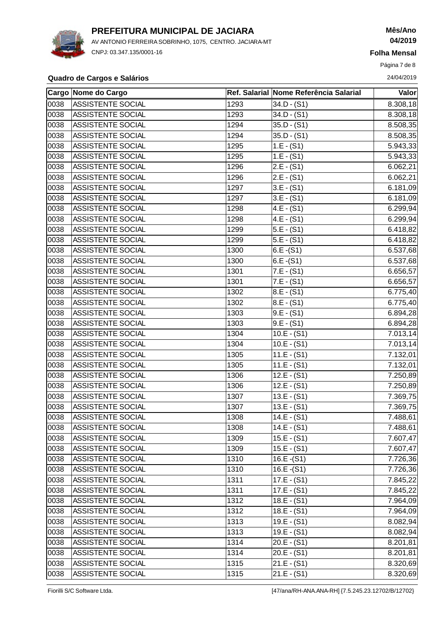

AV ANTONIO FERREIRA SOBRINHO, 1075, CENTRO. JACIARA-MT CNPJ: 03.347.135/0001-16

# **Mês/Ano 04/2019**

**Folha Mensal**

Página 7 de 8

### **Quadro de Cargos e Salários** 24/04/2019

|      | Cargo Nome do Cargo      |      | Ref. Salarial Nome Referência Salarial | <b>Valor</b> |
|------|--------------------------|------|----------------------------------------|--------------|
| 0038 | <b>ASSISTENTE SOCIAL</b> | 1293 | 34.D - (S1)                            | 8.308,18     |
| 0038 | <b>ASSISTENTE SOCIAL</b> | 1293 | $34.D - (S1)$                          | 8.308,18     |
| 0038 | <b>ASSISTENTE SOCIAL</b> | 1294 | $35.D - (S1)$                          | 8.508,35     |
| 0038 | <b>ASSISTENTE SOCIAL</b> | 1294 | $35.D - (S1)$                          | 8.508,35     |
| 0038 | ASSISTENTE SOCIAL        | 1295 | $1.E - (S1)$                           | 5.943,33     |
| 0038 | ASSISTENTE SOCIAL        | 1295 | $1.E - (S1)$                           | 5.943,33     |
| 0038 | ASSISTENTE SOCIAL        | 1296 | $2.E - (S1)$                           | 6.062,21     |
| 0038 | ASSISTENTE SOCIAL        | 1296 | $2.E - (S1)$                           | 6.062,21     |
| 0038 | <b>ASSISTENTE SOCIAL</b> | 1297 | $3.E - (S1)$                           | 6.181,09     |
| 0038 | <b>ASSISTENTE SOCIAL</b> | 1297 | $3.E - (S1)$                           | 6.181,09     |
| 0038 | ASSISTENTE SOCIAL        | 1298 | $4.E - (S1)$                           | 6.299,94     |
| 0038 | <b>ASSISTENTE SOCIAL</b> | 1298 | $4.E - (S1)$                           | 6.299,94     |
| 0038 | <b>ASSISTENTE SOCIAL</b> | 1299 | $5.E - (S1)$                           | 6.418,82     |
| 0038 | ASSISTENTE SOCIAL        | 1299 | $5.E - (S1)$                           | 6.418,82     |
| 0038 | <b>ASSISTENTE SOCIAL</b> | 1300 | $6.E - (S1)$                           | 6.537,68     |
| 0038 | <b>ASSISTENTE SOCIAL</b> | 1300 | $6.E - (S1)$                           | 6.537,68     |
| 0038 | <b>ASSISTENTE SOCIAL</b> | 1301 | $7.E - (S1)$                           | 6.656,57     |
| 0038 | ASSISTENTE SOCIAL        | 1301 | $7.E - (S1)$                           | 6.656,57     |
| 0038 | <b>ASSISTENTE SOCIAL</b> | 1302 | $8.E - (S1)$                           | 6.775,40     |
| 0038 | <b>ASSISTENTE SOCIAL</b> | 1302 | 8.E - (S1)                             | 6.775,40     |
| 0038 | <b>ASSISTENTE SOCIAL</b> | 1303 | $9.E - (S1)$                           | 6.894,28     |
| 0038 | <b>ASSISTENTE SOCIAL</b> | 1303 | $9.E - (S1)$                           | 6.894,28     |
| 0038 | <b>ASSISTENTE SOCIAL</b> | 1304 | $10.E - (S1)$                          | 7.013,14     |
| 0038 | <b>ASSISTENTE SOCIAL</b> | 1304 | $10.E - (S1)$                          | 7.013,14     |
| 0038 | <b>ASSISTENTE SOCIAL</b> | 1305 | $11.E - (S1)$                          | 7.132,01     |
| 0038 | <b>ASSISTENTE SOCIAL</b> | 1305 | $11.E - (S1)$                          | 7.132,01     |
| 0038 | <b>ASSISTENTE SOCIAL</b> | 1306 | $12.E - (S1)$                          | 7.250,89     |
| 0038 | ASSISTENTE SOCIAL        | 1306 | $12.E - (S1)$                          | 7.250,89     |
| 0038 | <b>ASSISTENTE SOCIAL</b> | 1307 | $13.E - (S1)$                          | 7.369,75     |
| 0038 | <b>ASSISTENTE SOCIAL</b> | 1307 | $13.E - (S1)$                          | 7.369,75     |
| 0038 | <b>ASSISTENTE SOCIAL</b> | 1308 | $14.E - (S1)$                          | 7.488,61     |
| 0038 | <b>ASSISTENTE SOCIAL</b> | 1308 | $14.E - (S1)$                          | 7.488,61     |
| 0038 | <b>ASSISTENTE SOCIAL</b> | 1309 | $15.E - (S1)$                          | 7.607,47     |
| 0038 | ASSISTENTE SOCIAL        | 1309 | $15.E - (S1)$                          | 7.607,47     |
| 0038 | <b>ASSISTENTE SOCIAL</b> | 1310 | $16.E - (S1)$                          | 7.726,36     |
| 0038 | ASSISTENTE SOCIAL        | 1310 | $16.E - (S1)$                          | 7.726,36     |
| 0038 | ASSISTENTE SOCIAL        | 1311 | $17.E - (S1)$                          | 7.845,22     |
| 0038 | <b>ASSISTENTE SOCIAL</b> | 1311 | $17.E - (S1)$                          | 7.845,22     |
| 0038 | <b>ASSISTENTE SOCIAL</b> | 1312 | $18.E - (S1)$                          | 7.964,09     |
| 0038 | <b>ASSISTENTE SOCIAL</b> | 1312 | $18.E - (S1)$                          | 7.964,09     |
| 0038 | ASSISTENTE SOCIAL        | 1313 | $19.E - (S1)$                          | 8.082,94     |
| 0038 | <b>ASSISTENTE SOCIAL</b> | 1313 | $19.E - (S1)$                          | 8.082,94     |
| 0038 | ASSISTENTE SOCIAL        | 1314 | $20.E - (S1)$                          | 8.201,81     |
| 0038 | <b>ASSISTENTE SOCIAL</b> | 1314 | $20.E - (S1)$                          | 8.201,81     |
| 0038 | ASSISTENTE SOCIAL        | 1315 | $21.E - (S1)$                          | 8.320,69     |
| 0038 | ASSISTENTE SOCIAL        | 1315 | $21.E - (S1)$                          | 8.320,69     |